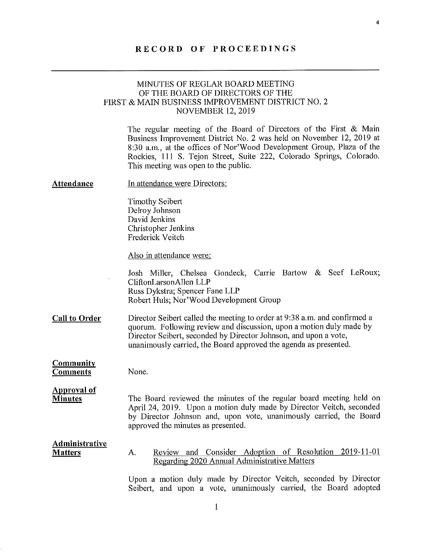## RECORD OF PROCEEDINGS

## MINUTES OF REGLAR BOARD MEETING OF THE BOARD OF DIRECTORS OF THE FIRST & MAIN BUSINESS IMPROVEMENT DISTRICT NO.2 NOVEMBER 12, 2019

The regular meeting of the Board of Directors of the First & Main Business Improvement District No. 2 was held on November 12, 2019 at 8:30 a.m., at the offices of Nor'Wood Development Group, Plaza of the Rockies, 111 5. Tejon Street, Suite 222, Colorado Springs, Colorado. This meeting was open to the public.

 $\overline{4}$ 

| Attendance | In attendance were Directors: |
|------------|-------------------------------|
|            |                               |

Timothy Seibert Delroy Johnson David Jenkins Christopher Jenkins Frederick Veitch

Also in attendance were:

Josh Miller, Chelsea Gondeck, Carrie Bartow & Seef LeRoux; CliftonLarsonAllen LLP Russ Dykstra; Spencer Fane LLP Robert Huls; Nor'Wood Development Group

- Call to Order Director Seibert called the meeting to order at 9:38 a.m. and confirmed a quorum. Following review and discussion, upon a motion duly made by Director Seibert, seconded by Director Johnson, and upon a vote, unanimously carried, the Board approved the agenda as presented.
- Community **Comments**

Approval of

None.

### **Minutes** The Board reviewed the minutes of the regular board meeting held on April 24, 2019. Upon a motion duly made by Director Veitch, seconded by Director Johnson and, upon vote, unanimously carried, the Board approved the minutes as presented.

#### Administrative Review and Consider Adoption of Resolution 2019-11-01 Matters А. Regarding 2020 Annual Administrative Matters

Upon a motion duly made by Director Veitch, seconded by Director Seibert, and upon a vote, unanimously carried, the Board adopted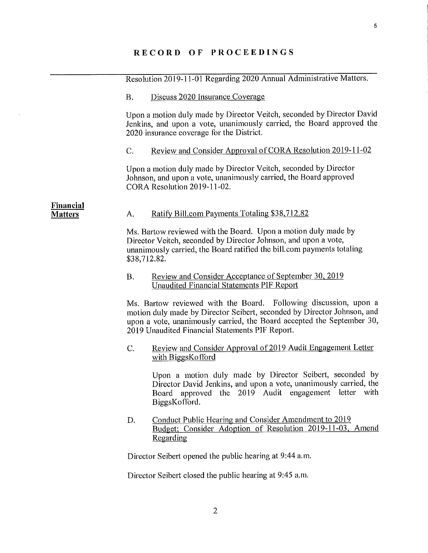$\sim$ 

|                             | Resolution 2019-11-01 Regarding 2020 Annual Administrative Matters.                                                                                                                                                                                                      |                                                                                                                                                                                                           |
|-----------------------------|--------------------------------------------------------------------------------------------------------------------------------------------------------------------------------------------------------------------------------------------------------------------------|-----------------------------------------------------------------------------------------------------------------------------------------------------------------------------------------------------------|
|                             | <b>B.</b>                                                                                                                                                                                                                                                                | Discuss 2020 Insurance Coverage                                                                                                                                                                           |
|                             | Upon a motion duly made by Director Veitch, seconded by Director David<br>Jenkins, and upon a vote, unanimously carried, the Board approved the<br>2020 insurance coverage for the District.                                                                             |                                                                                                                                                                                                           |
|                             | C.                                                                                                                                                                                                                                                                       | Review and Consider Approval of CORA Resolution 2019-11-02                                                                                                                                                |
|                             | Upon a motion duly made by Director Veitch, seconded by Director<br>Johnson, and upon a vote, unanimously carried, the Board approved<br>CORA Resolution 2019-11-02.                                                                                                     |                                                                                                                                                                                                           |
| Financial<br><b>Matters</b> | A.                                                                                                                                                                                                                                                                       | Ratify Bill.com Payments Totaling \$38,712.82                                                                                                                                                             |
|                             | Ms. Bartow reviewed with the Board. Upon a motion duly made by<br>Director Veitch, seconded by Director Johnson, and upon a vote,<br>unanimously carried, the Board ratified the bill.com payments totaling<br>\$38,712.82.                                              |                                                                                                                                                                                                           |
|                             | <b>B.</b>                                                                                                                                                                                                                                                                | <b>Review and Consider Acceptance of September 30, 2019</b><br><b>Unaudited Financial Statements PIF Report</b>                                                                                           |
|                             | Ms. Bartow reviewed with the Board. Following discussion, upon a<br>motion duly made by Director Seibert, seconded by Director Johnson, and<br>upon a vote, unanimously carried, the Board accepted the September 30,<br>2019 Unaudited Financial Statements PIF Report. |                                                                                                                                                                                                           |
|                             | C.                                                                                                                                                                                                                                                                       | Review and Consider Approval of 2019 Audit Engagement Letter<br>with BiggsKofford                                                                                                                         |
|                             |                                                                                                                                                                                                                                                                          | Upon a motion duly made by Director Seibert, seconded by<br>Director David Jenkins, and upon a vote, unanimously carried, the<br>Board approved the 2019 Audit engagement letter<br>with<br>BiggsKofford. |
|                             | D.                                                                                                                                                                                                                                                                       | Conduct Public Hearing and Consider Amendment to 2019<br>Budget; Consider Adoption of Resolution 2019-11-03, Amend<br>Regarding                                                                           |
|                             | Director Seibert opened the public hearing at 9:44 a.m.                                                                                                                                                                                                                  |                                                                                                                                                                                                           |

Director Seibert closed the public hearing at 9:45 am.

 $\overline{5}$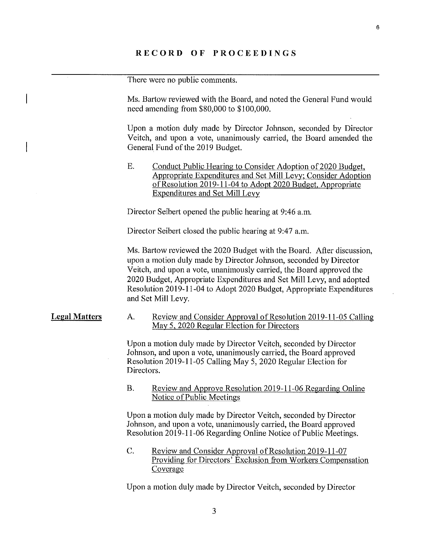There were no public comments.

Ms. Bartow reviewed with the Board, and noted the General Fund would need amending from \$80,000 to \$100,000.

Upon a motion duly made by Director Johnson, seconded by Director Veitch, and upon a vote, unanimously carried, the Board amended the General Fund of the 2019 Budget.

E. Conduct Public Hearing to Consider Adoption of 2020 Budget, Appropriate Expenditures and Set Mill Levy: Consider Adoption of Resolution 2019-11-04 to Adopt 2020 Budget, Appropriate Expenditures and Set Mill Levy

Director Seibert opened the public hearing at 9:46 a.m.

Director Seibert closed the public hearing at 9:47 a.m.

Ms. Bartow reviewed the 2020 Budget with the Board. After discussion, upon a motion duly made by Director Johnson, seconded by Director Veitch, and upon a vote, unanimously carried, the Board approved the 2020 Budget, Appropriate Expenditures and Set Mill Levy, and adopted Resolution 2019-11-04 to Adopt 2020 Budget, Appropriate Expenditures and Set Mill Levy.

### Legal Matters A.

Review and Consider Approval of Resolution 2019-11-05 Calling May 5, 2020 Regular Election for Directors

Upon a motion duly made by Director Veitch, seconded by Director Johnson, and upon a vote, unanimously carried, the Board approved Resolution 2019-11-05 Calling May 5, 2020 Regular Election for Directors.

**B.** Review and Approve Resolution 2019-11-06 Regarding Online Notice of Public Meetings

Upon a motion duly made by Director Veitch, seconded by Director Johnson, and upon a vote, unanimously carried, the Board approved Resolution 2019-1 1-06 Regarding Online Notice of Public Meetings.

 $\mathcal{C}$ . Review and Consider Approval of Resolution 2019-11-07 **Providing for Directors' Exclusion from Workers Compensation Coverage** 

Upon a motion duly made by Director Veitch, seconded by Director